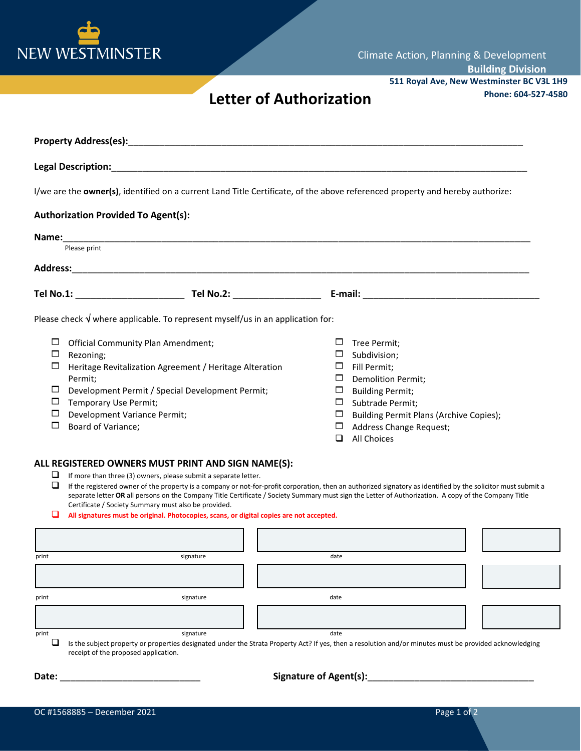

## **Phone: 604-527-4580 Letter of Authorization**

| I/we are the owner(s), identified on a current Land Title Certificate, of the above referenced property and hereby authorize:                                                                                                                                                                                |                                                                                                                                                                                                                                                                                |
|--------------------------------------------------------------------------------------------------------------------------------------------------------------------------------------------------------------------------------------------------------------------------------------------------------------|--------------------------------------------------------------------------------------------------------------------------------------------------------------------------------------------------------------------------------------------------------------------------------|
| <b>Authorization Provided To Agent(s):</b>                                                                                                                                                                                                                                                                   |                                                                                                                                                                                                                                                                                |
|                                                                                                                                                                                                                                                                                                              |                                                                                                                                                                                                                                                                                |
| Please print                                                                                                                                                                                                                                                                                                 |                                                                                                                                                                                                                                                                                |
|                                                                                                                                                                                                                                                                                                              |                                                                                                                                                                                                                                                                                |
|                                                                                                                                                                                                                                                                                                              |                                                                                                                                                                                                                                                                                |
| Please check $\sqrt{}$ where applicable. To represent myself/us in an application for:                                                                                                                                                                                                                       |                                                                                                                                                                                                                                                                                |
| □<br><b>Official Community Plan Amendment;</b><br>$\Box$<br>Rezoning;<br>□<br>Heritage Revitalization Agreement / Heritage Alteration<br>Permit;<br>Development Permit / Special Development Permit;<br>□<br>$\Box$<br>Temporary Use Permit;<br>Development Variance Permit;<br>□<br>□<br>Board of Variance; | □<br>Tree Permit:<br>□<br>Subdivision;<br>Fill Permit:<br>$\Box$<br>□<br><b>Demolition Permit;</b><br>$\Box$<br><b>Building Permit;</b><br>$\Box$<br>Subtrade Permit;<br>Building Permit Plans (Archive Copies);<br>□<br>Address Change Request;<br>□<br>All Choices<br>$\Box$ |
| ALL REGISTERED OWNERS MUST PRINT AND SIGN NAME(S):                                                                                                                                                                                                                                                           |                                                                                                                                                                                                                                                                                |
| If more than three (3) owners, please submit a separate letter.<br>u                                                                                                                                                                                                                                         |                                                                                                                                                                                                                                                                                |

 $\Box$  If the registered owner of the property is a company or not-for-profit corporation, then an authorized signatory as identified by the solicitor must submit a separate letter **OR** all persons on the Company Title Certificate / Society Summary must sign the Letter of Authorization. A copy of the Company Title Certificate / Society Summary must also be provided.

## **All signatures must be original. Photocopies, scans, or digital copies are not accepted.**

| print | signature                            | date                                                                                                                                                    |  |
|-------|--------------------------------------|---------------------------------------------------------------------------------------------------------------------------------------------------------|--|
|       |                                      |                                                                                                                                                         |  |
|       |                                      |                                                                                                                                                         |  |
|       |                                      |                                                                                                                                                         |  |
| print | signature                            | date                                                                                                                                                    |  |
|       |                                      |                                                                                                                                                         |  |
|       |                                      |                                                                                                                                                         |  |
|       |                                      |                                                                                                                                                         |  |
|       |                                      |                                                                                                                                                         |  |
| print | signature                            | date                                                                                                                                                    |  |
| Q.    |                                      | Is the subject property or properties designated under the Strata Property Act? If yes, then a resolution and/or minutes must be provided acknowledging |  |
|       |                                      |                                                                                                                                                         |  |
|       | receipt of the proposed application. |                                                                                                                                                         |  |

**Date:** \_\_\_\_\_\_\_\_\_\_\_\_\_\_\_\_\_\_\_\_\_\_\_\_\_\_\_ **Signature of Agent(s):**\_\_\_\_\_\_\_\_\_\_\_\_\_\_\_\_\_\_\_\_\_\_\_\_\_\_\_\_\_\_\_\_